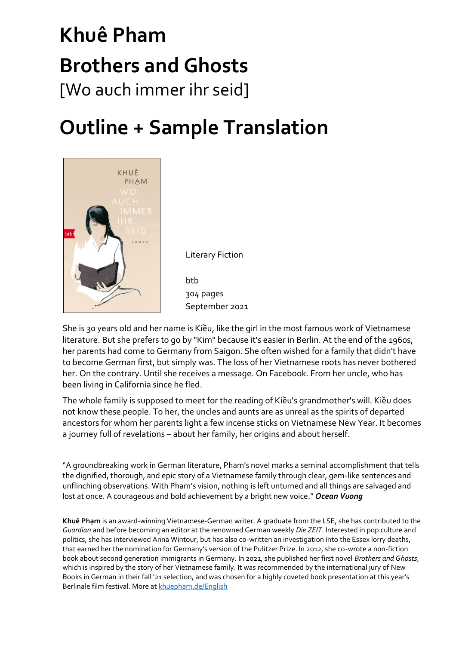# **Khuê Pham Brothers and Ghosts** [Wo auch immer ihr seid]

### **Outline + Sample Translation**



Literary Fiction

btb 304 pages September 2021

She is 30 years old and her name is Kiều, like the girl in the most famous work of Vietnamese literature. But she prefers to go by "Kim" because it's easier in Berlin. At the end of the 1960s, her parents had come to Germany from Saigon. She often wished for a family that didn't have to become German first, but simply was. The loss of her Vietnamese roots has never bothered her. On the contrary. Until she receives a message. On Facebook. From her uncle, who has been living in California since he fled.

The whole family is supposed to meet for the reading of Kiều's grandmother's will. Kiều does not know these people. To her, the uncles and aunts are as unreal as the spirits of departed ancestors for whom her parents light a few incense sticks on Vietnamese New Year. It becomes a journey full of revelations – about her family, her origins and about herself.

"A groundbreaking work in German literature, Pham's novel marks a seminal accomplishment that tells the dignified, thorough, and epic story of a Vietnamese family through clear, gem-like sentences and unflinching observations. With Pham's vision, nothing is left unturned and all things are salvaged and lost at once. A courageous and bold achievement by a bright new voice." *Ocean Vuong*

**Khuê Phạm** is an award-winning Vietnamese-German writer. A graduate from the LSE, she has contributed to the *Guardian* and before becoming an editor at the renowned German weekly *Die ZEIT*. Interested in pop culture and politics, she has interviewed Anna Wintour, but has also co-written an investigation into the Essex lorry deaths, that earned her the nomination for Germany's version of the Pulitzer Prize. In 2012, she co-wrote a non-fiction book about second generation immigrants in Germany. In 2021, she published her first novel *Brothers and Ghosts*, which is inspired by the story of her Vietnamese family. It was recommended by the international jury of New Books in German in their fall '21 selection, and was chosen for a highly coveted book presentation at this year's Berlinale film festival. More at [khuepham.de/English](https://www.khuepham.de/english)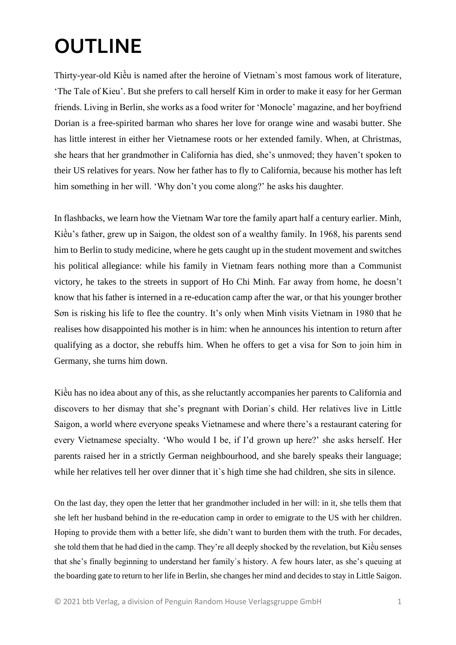## **OUTLINE**

Thirty-year-old Kiều is named after the heroine of Vietnam`s most famous work of literature, 'The Tale of Kieu'. But she prefers to call herself Kim in order to make it easy for her German friends. Living in Berlin, she works as a food writer for 'Monocle' magazine, and her boyfriend Dorian is a free-spirited barman who shares her love for orange wine and wasabi butter. She has little interest in either her Vietnamese roots or her extended family. When, at Christmas, she hears that her grandmother in California has died, she's unmoved; they haven't spoken to their US relatives for years. Now her father has to fly to California, because his mother has left him something in her will. 'Why don't you come along?' he asks his daughter.

In flashbacks, we learn how the Vietnam War tore the family apart half a century earlier. Minh, Kiều's father, grew up in Saigon, the oldest son of a wealthy family. In 1968, his parents send him to Berlin to study medicine, where he gets caught up in the student movement and switches his political allegiance: while his family in Vietnam fears nothing more than a Communist victory, he takes to the streets in support of Ho Chi Minh. Far away from home, he doesn't know that his father is interned in a re-education camp after the war, or that his younger brother Sơn is risking his life to flee the country. It's only when Minh visits Vietnam in 1980 that he realises how disappointed his mother is in him: when he announces his intention to return after qualifying as a doctor, she rebuffs him. When he offers to get a visa for Sơn to join him in Germany, she turns him down.

Kiều has no idea about any of this, as she reluctantly accompanies her parents to California and discovers to her dismay that she's pregnant with Dorian`s child. Her relatives live in Little Saigon, a world where everyone speaks Vietnamese and where there's a restaurant catering for every Vietnamese specialty. 'Who would I be, if I'd grown up here?' she asks herself. Her parents raised her in a strictly German neighbourhood, and she barely speaks their language; while her relatives tell her over dinner that it`s high time she had children, she sits in silence.

On the last day, they open the letter that her grandmother included in her will: in it, she tells them that she left her husband behind in the re-education camp in order to emigrate to the US with her children. Hoping to provide them with a better life, she didn't want to burden them with the truth. For decades, she told them that he had died in the camp. They're all deeply shocked by the revelation, but Kiều senses that she's finally beginning to understand her family`s history. A few hours later, as she's queuing at the boarding gate to return to her life in Berlin, she changes her mind and decides to stay in Little Saigon.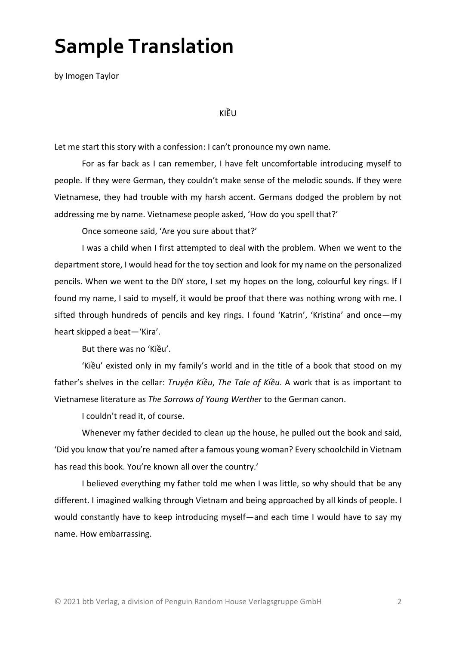### **Sample Translation**

by Imogen Taylor

KIỀU

Let me start this story with a confession: I can't pronounce my own name.

For as far back as I can remember, I have felt uncomfortable introducing myself to people. If they were German, they couldn't make sense of the melodic sounds. If they were Vietnamese, they had trouble with my harsh accent. Germans dodged the problem by not addressing me by name. Vietnamese people asked, 'How do you spell that?'

Once someone said, 'Are you sure about that?'

I was a child when I first attempted to deal with the problem. When we went to the department store, I would head for the toy section and look for my name on the personalized pencils. When we went to the DIY store, I set my hopes on the long, colourful key rings. If I found my name, I said to myself, it would be proof that there was nothing wrong with me. I sifted through hundreds of pencils and key rings. I found 'Katrin', 'Kristina' and once—my heart skipped a beat—'Kira'.

But there was no 'Kiều'.

'Kiều' existed only in my family's world and in the title of a book that stood on my father's shelves in the cellar: *Truyện Kiều*, *The Tale of Kiều*. A work that is as important to Vietnamese literature as *The Sorrows of Young Werther* to the German canon.

I couldn't read it, of course.

Whenever my father decided to clean up the house, he pulled out the book and said, 'Did you know that you're named after a famous young woman? Every schoolchild in Vietnam has read this book. You're known all over the country.'

I believed everything my father told me when I was little, so why should that be any different. I imagined walking through Vietnam and being approached by all kinds of people. I would constantly have to keep introducing myself—and each time I would have to say my name. How embarrassing.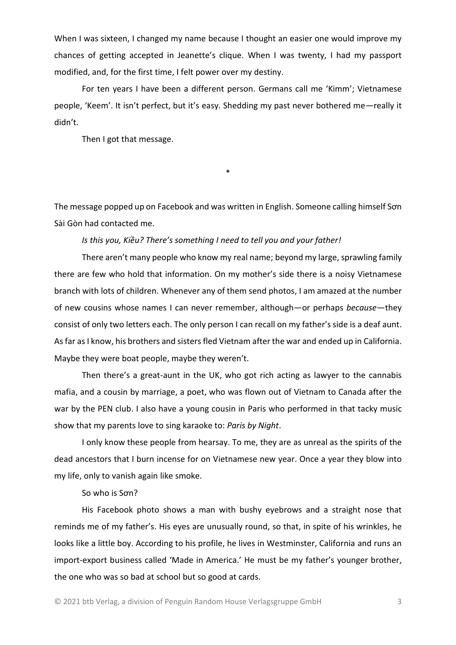When I was sixteen, I changed my name because I thought an easier one would improve my chances of getting accepted in Jeanette's clique. When I was twenty, I had my passport modified, and, for the first time, I felt power over my destiny.

For ten years I have been a different person. Germans call me 'Kimm'; Vietnamese people, 'Keem'. It isn't perfect, but it's easy. Shedding my past never bothered me—really it didn't.

Then I got that message.

\*

The message popped up on Facebook and was written in English. Someone calling himself Sơn Sài Gòn had contacted me.

*Is this you, Kiều? There's something I need to tell you and your father!*

There aren't many people who know my real name; beyond my large, sprawling family there are few who hold that information. On my mother's side there is a noisy Vietnamese branch with lots of children. Whenever any of them send photos, I am amazed at the number of new cousins whose names I can never remember, although—or perhaps *because*—they consist of only two letters each. The only person I can recall on my father's side is a deaf aunt. As far as I know, his brothers and sisters fled Vietnam after the war and ended up in California. Maybe they were boat people, maybe they weren't.

Then there's a great-aunt in the UK, who got rich acting as lawyer to the cannabis mafia, and a cousin by marriage, a poet, who was flown out of Vietnam to Canada after the war by the PEN club. I also have a young cousin in Paris who performed in that tacky music show that my parents love to sing karaoke to: *Paris by Night*.

I only know these people from hearsay. To me, they are as unreal as the spirits of the dead ancestors that I burn incense for on Vietnamese new year. Once a year they blow into my life, only to vanish again like smoke.

So who is Sơn?

His Facebook photo shows a man with bushy eyebrows and a straight nose that reminds me of my father's. His eyes are unusually round, so that, in spite of his wrinkles, he looks like a little boy. According to his profile, he lives in Westminster, California and runs an import-export business called 'Made in America.' He must be my father's younger brother, the one who was so bad at school but so good at cards.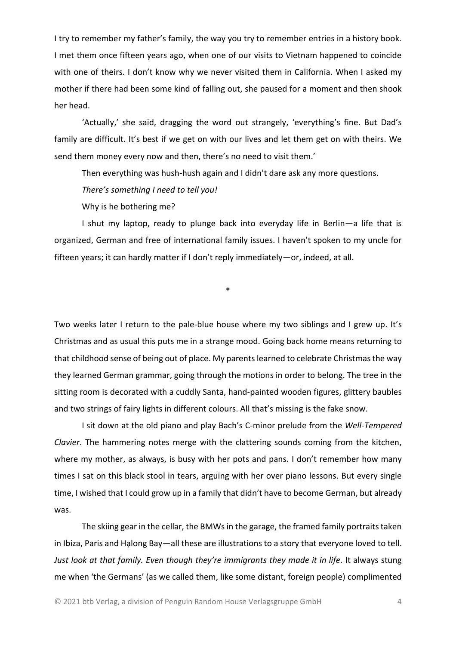I try to remember my father's family, the way you try to remember entries in a history book. I met them once fifteen years ago, when one of our visits to Vietnam happened to coincide with one of theirs. I don't know why we never visited them in California. When I asked my mother if there had been some kind of falling out, she paused for a moment and then shook her head.

'Actually,' she said, dragging the word out strangely, 'everything's fine. But Dad's family are difficult. It's best if we get on with our lives and let them get on with theirs. We send them money every now and then, there's no need to visit them.'

Then everything was hush-hush again and I didn't dare ask any more questions.

*There's something I need to tell you!*

Why is he bothering me?

I shut my laptop, ready to plunge back into everyday life in Berlin—a life that is organized, German and free of international family issues. I haven't spoken to my uncle for fifteen years; it can hardly matter if I don't reply immediately—or, indeed, at all.

\*

Two weeks later I return to the pale-blue house where my two siblings and I grew up. It's Christmas and as usual this puts me in a strange mood. Going back home means returning to that childhood sense of being out of place. My parents learned to celebrate Christmas the way they learned German grammar, going through the motions in order to belong. The tree in the sitting room is decorated with a cuddly Santa, hand-painted wooden figures, glittery baubles and two strings of fairy lights in different colours. All that's missing is the fake snow.

I sit down at the old piano and play Bach's C-minor prelude from the *Well-Tempered Clavier*. The hammering notes merge with the clattering sounds coming from the kitchen, where my mother, as always, is busy with her pots and pans. I don't remember how many times I sat on this black stool in tears, arguing with her over piano lessons. But every single time, I wished that I could grow up in a family that didn't have to become German, but already was.

The skiing gear in the cellar, the BMWs in the garage, the framed family portraits taken in Ibiza, Paris and Hạlong Bay—all these are illustrations to a story that everyone loved to tell. *Just look at that family. Even though they're immigrants they made it in life.* It always stung me when 'the Germans' (as we called them, like some distant, foreign people) complimented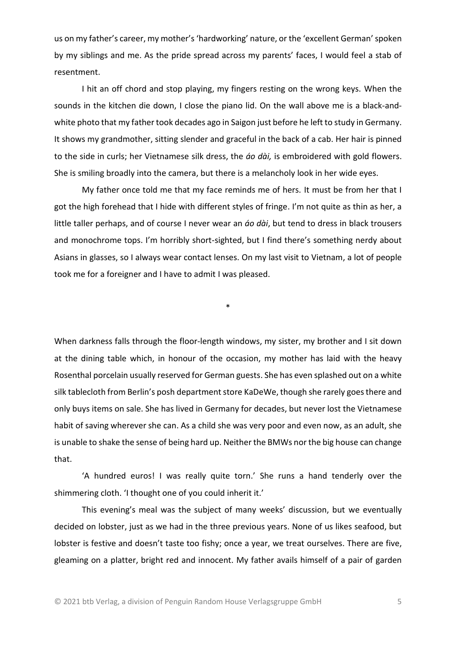us on my father's career, my mother's 'hardworking' nature, or the 'excellent German'spoken by my siblings and me. As the pride spread across my parents' faces, I would feel a stab of resentment.

I hit an off chord and stop playing, my fingers resting on the wrong keys. When the sounds in the kitchen die down, I close the piano lid. On the wall above me is a black-andwhite photo that my father took decades ago in Saigon just before he left to study in Germany. It shows my grandmother, sitting slender and graceful in the back of a cab. Her hair is pinned to the side in curls; her Vietnamese silk dress, the *áo dài,* is embroidered with gold flowers. She is smiling broadly into the camera, but there is a melancholy look in her wide eyes.

My father once told me that my face reminds me of hers. It must be from her that I got the high forehead that I hide with different styles of fringe. I'm not quite as thin as her, a little taller perhaps, and of course I never wear an *áo dài*, but tend to dress in black trousers and monochrome tops. I'm horribly short-sighted, but I find there's something nerdy about Asians in glasses, so I always wear contact lenses. On my last visit to Vietnam, a lot of people took me for a foreigner and I have to admit I was pleased.

\*

When darkness falls through the floor-length windows, my sister, my brother and I sit down at the dining table which, in honour of the occasion, my mother has laid with the heavy Rosenthal porcelain usually reserved for German guests. She has even splashed out on a white silk tablecloth from Berlin's posh department store KaDeWe, though she rarely goes there and only buys items on sale. She has lived in Germany for decades, but never lost the Vietnamese habit of saving wherever she can. As a child she was very poor and even now, as an adult, she is unable to shake the sense of being hard up. Neither the BMWs nor the big house can change that.

'A hundred euros! I was really quite torn.' She runs a hand tenderly over the shimmering cloth. 'I thought one of you could inherit it.'

This evening's meal was the subject of many weeks' discussion, but we eventually decided on lobster, just as we had in the three previous years. None of us likes seafood, but lobster is festive and doesn't taste too fishy; once a year, we treat ourselves. There are five, gleaming on a platter, bright red and innocent. My father avails himself of a pair of garden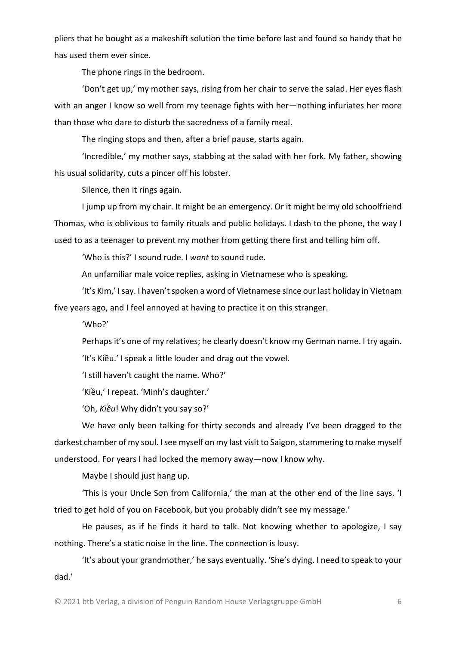pliers that he bought as a makeshift solution the time before last and found so handy that he has used them ever since.

The phone rings in the bedroom.

'Don't get up,' my mother says, rising from her chair to serve the salad. Her eyes flash with an anger I know so well from my teenage fights with her—nothing infuriates her more than those who dare to disturb the sacredness of a family meal.

The ringing stops and then, after a brief pause, starts again.

'Incredible,' my mother says, stabbing at the salad with her fork. My father, showing his usual solidarity, cuts a pincer off his lobster.

Silence, then it rings again.

I jump up from my chair. It might be an emergency. Or it might be my old schoolfriend Thomas, who is oblivious to family rituals and public holidays. I dash to the phone, the way I used to as a teenager to prevent my mother from getting there first and telling him off.

'Who is this?' I sound rude. I *want* to sound rude.

An unfamiliar male voice replies, asking in Vietnamese who is speaking.

'It's Kim,' I say. I haven't spoken a word of Vietnamese since our last holiday in Vietnam five years ago, and I feel annoyed at having to practice it on this stranger.

'Who?'

Perhaps it's one of my relatives; he clearly doesn't know my German name. I try again.

'It's Kiều.' I speak a little louder and drag out the vowel.

'I still haven't caught the name. Who?'

'Kiều,' I repeat. 'Minh's daughter.'

'Oh, *Kiều*! Why didn't you say so?'

We have only been talking for thirty seconds and already I've been dragged to the darkest chamber of my soul. I see myself on my last visit to Saigon, stammering to make myself understood. For years I had locked the memory away—now I know why.

Maybe I should just hang up.

'This is your Uncle Sơn from California,' the man at the other end of the line says. 'I tried to get hold of you on Facebook, but you probably didn't see my message.'

He pauses, as if he finds it hard to talk. Not knowing whether to apologize, I say nothing. There's a static noise in the line. The connection is lousy.

'It's about your grandmother,' he says eventually. 'She's dying. I need to speak to your dad.'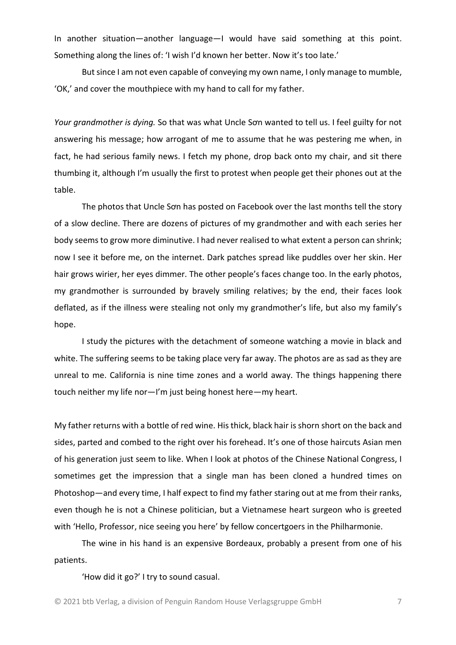In another situation—another language—I would have said something at this point. Something along the lines of: 'I wish I'd known her better. Now it's too late.'

But since I am not even capable of conveying my own name, I only manage to mumble, 'OK,' and cover the mouthpiece with my hand to call for my father.

*Your grandmother is dying.* So that was what Uncle Sơn wanted to tell us. I feel guilty for not answering his message; how arrogant of me to assume that he was pestering me when, in fact, he had serious family news. I fetch my phone, drop back onto my chair, and sit there thumbing it, although I'm usually the first to protest when people get their phones out at the table.

The photos that Uncle Sơn has posted on Facebook over the last months tell the story of a slow decline. There are dozens of pictures of my grandmother and with each series her body seems to grow more diminutive. I had never realised to what extent a person can shrink; now I see it before me, on the internet. Dark patches spread like puddles over her skin. Her hair grows wirier, her eyes dimmer. The other people's faces change too. In the early photos, my grandmother is surrounded by bravely smiling relatives; by the end, their faces look deflated, as if the illness were stealing not only my grandmother's life, but also my family's hope.

I study the pictures with the detachment of someone watching a movie in black and white. The suffering seems to be taking place very far away. The photos are as sad as they are unreal to me. California is nine time zones and a world away. The things happening there touch neither my life nor—I'm just being honest here—my heart.

My father returns with a bottle of red wine. His thick, black hair is shorn short on the back and sides, parted and combed to the right over his forehead. It's one of those haircuts Asian men of his generation just seem to like. When I look at photos of the Chinese National Congress, I sometimes get the impression that a single man has been cloned a hundred times on Photoshop—and every time, I half expect to find my father staring out at me from their ranks, even though he is not a Chinese politician, but a Vietnamese heart surgeon who is greeted with 'Hello, Professor, nice seeing you here' by fellow concertgoers in the Philharmonie.

The wine in his hand is an expensive Bordeaux, probably a present from one of his patients.

'How did it go?' I try to sound casual.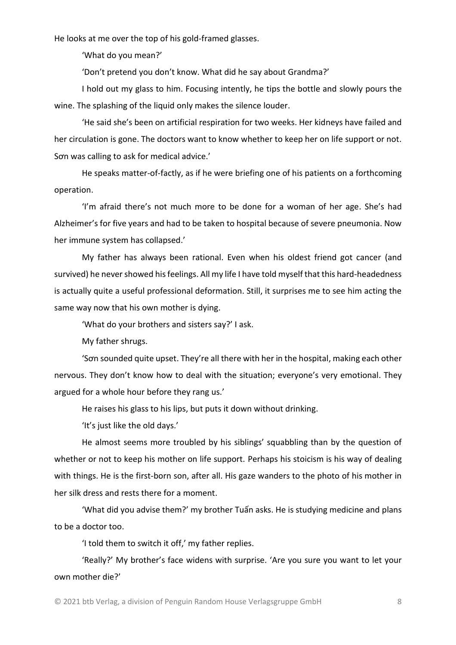He looks at me over the top of his gold-framed glasses.

'What do you mean?'

'Don't pretend you don't know. What did he say about Grandma?'

I hold out my glass to him. Focusing intently, he tips the bottle and slowly pours the wine. The splashing of the liquid only makes the silence louder.

'He said she's been on artificial respiration for two weeks. Her kidneys have failed and her circulation is gone. The doctors want to know whether to keep her on life support or not. Sơn was calling to ask for medical advice.'

He speaks matter-of-factly, as if he were briefing one of his patients on a forthcoming operation.

'I'm afraid there's not much more to be done for a woman of her age. She's had Alzheimer's for five years and had to be taken to hospital because of severe pneumonia. Now her immune system has collapsed.'

My father has always been rational. Even when his oldest friend got cancer (and survived) he never showed his feelings. All my life I have told myself that this hard-headedness is actually quite a useful professional deformation. Still, it surprises me to see him acting the same way now that his own mother is dying.

'What do your brothers and sisters say?' I ask.

My father shrugs.

'Sơn sounded quite upset. They're all there with her in the hospital, making each other nervous. They don't know how to deal with the situation; everyone's very emotional. They argued for a whole hour before they rang us.'

He raises his glass to his lips, but puts it down without drinking.

'It's just like the old days.'

He almost seems more troubled by his siblings' squabbling than by the question of whether or not to keep his mother on life support. Perhaps his stoicism is his way of dealing with things. He is the first-born son, after all. His gaze wanders to the photo of his mother in her silk dress and rests there for a moment.

'What did you advise them?' my brother Tuấn asks. He is studying medicine and plans to be a doctor too.

'I told them to switch it off,' my father replies.

'Really?' My brother's face widens with surprise. 'Are you sure you want to let your own mother die?'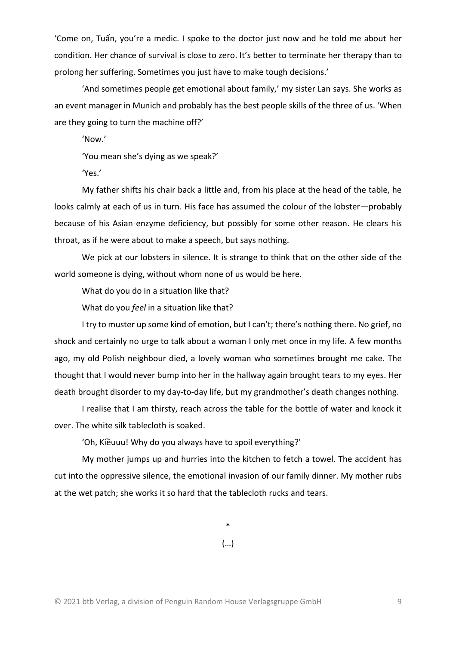'Come on, Tuấn, you're a medic. I spoke to the doctor just now and he told me about her condition. Her chance of survival is close to zero. It's better to terminate her therapy than to prolong her suffering. Sometimes you just have to make tough decisions.'

'And sometimes people get emotional about family,' my sister Lan says. She works as an event manager in Munich and probably has the best people skills of the three of us. 'When are they going to turn the machine off?'

'Now.'

'You mean she's dying as we speak?'

'Yes.'

My father shifts his chair back a little and, from his place at the head of the table, he looks calmly at each of us in turn. His face has assumed the colour of the lobster—probably because of his Asian enzyme deficiency, but possibly for some other reason. He clears his throat, as if he were about to make a speech, but says nothing.

We pick at our lobsters in silence. It is strange to think that on the other side of the world someone is dying, without whom none of us would be here.

What do you do in a situation like that?

What do you *feel* in a situation like that?

I try to muster up some kind of emotion, but I can't; there's nothing there. No grief, no shock and certainly no urge to talk about a woman I only met once in my life. A few months ago, my old Polish neighbour died, a lovely woman who sometimes brought me cake. The thought that I would never bump into her in the hallway again brought tears to my eyes. Her death brought disorder to my day-to-day life, but my grandmother's death changes nothing.

I realise that I am thirsty, reach across the table for the bottle of water and knock it over. The white silk tablecloth is soaked.

'Oh, Kiềuuu! Why do you always have to spoil everything?'

My mother jumps up and hurries into the kitchen to fetch a towel. The accident has cut into the oppressive silence, the emotional invasion of our family dinner. My mother rubs at the wet patch; she works it so hard that the tablecloth rucks and tears.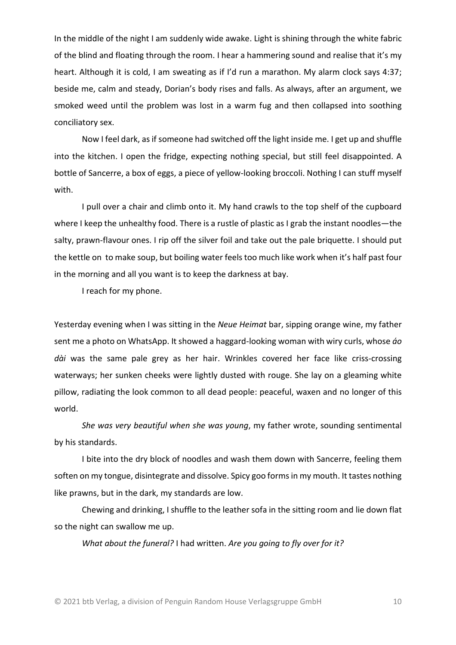In the middle of the night I am suddenly wide awake. Light is shining through the white fabric of the blind and floating through the room. I hear a hammering sound and realise that it's my heart. Although it is cold, I am sweating as if I'd run a marathon. My alarm clock says 4:37; beside me, calm and steady, Dorian's body rises and falls. As always, after an argument, we smoked weed until the problem was lost in a warm fug and then collapsed into soothing conciliatory sex.

Now I feel dark, as if someone had switched off the light inside me. I get up and shuffle into the kitchen. I open the fridge, expecting nothing special, but still feel disappointed. A bottle of Sancerre, a box of eggs, a piece of yellow-looking broccoli. Nothing I can stuff myself with.

I pull over a chair and climb onto it. My hand crawls to the top shelf of the cupboard where I keep the unhealthy food. There is a rustle of plastic as I grab the instant noodles—the salty, prawn-flavour ones. I rip off the silver foil and take out the pale briquette. I should put the kettle on to make soup, but boiling water feels too much like work when it's half past four in the morning and all you want is to keep the darkness at bay.

I reach for my phone.

Yesterday evening when I was sitting in the *Neue Heimat* bar, sipping orange wine, my father sent me a photo on WhatsApp. It showed a haggard-looking woman with wiry curls, whose *áo dài* was the same pale grey as her hair. Wrinkles covered her face like criss-crossing waterways; her sunken cheeks were lightly dusted with rouge. She lay on a gleaming white pillow, radiating the look common to all dead people: peaceful, waxen and no longer of this world.

*She was very beautiful when she was young*, my father wrote, sounding sentimental by his standards.

I bite into the dry block of noodles and wash them down with Sancerre, feeling them soften on my tongue, disintegrate and dissolve. Spicy goo forms in my mouth. It tastes nothing like prawns, but in the dark, my standards are low.

Chewing and drinking, I shuffle to the leather sofa in the sitting room and lie down flat so the night can swallow me up.

*What about the funeral?* I had written. *Are you going to fly over for it?*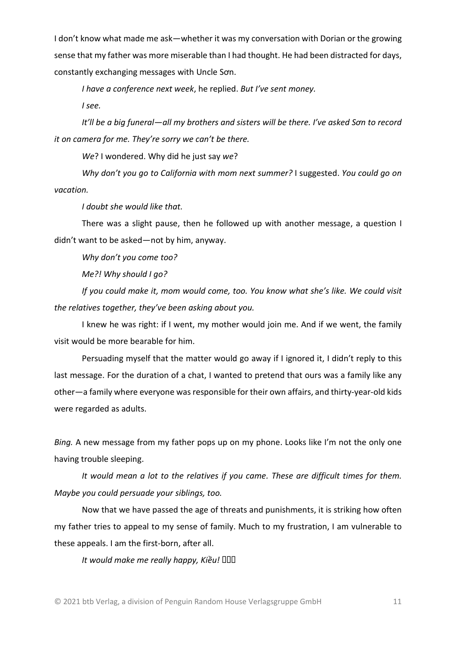I don't know what made me ask—whether it was my conversation with Dorian or the growing sense that my father was more miserable than I had thought. He had been distracted for days, constantly exchanging messages with Uncle Sơn.

*I have a conference next week*, he replied. *But I've sent money.*

*I see.*

*It'll be a big funeral—all my brothers and sisters will be there. I've asked Sơn to record it on camera for me. They're sorry we can't be there.*

*We*? I wondered. Why did he just say *we*?

*Why don't you go to California with mom next summer?* I suggested. *You could go on vacation.*

*I doubt she would like that.*

There was a slight pause, then he followed up with another message, a question I didn't want to be asked—not by him, anyway.

*Why don't you come too?*

*Me?! Why should I go?*

*If you could make it, mom would come, too. You know what she's like. We could visit the relatives together, they've been asking about you.*

I knew he was right: if I went, my mother would join me. And if we went, the family visit would be more bearable for him.

Persuading myself that the matter would go away if I ignored it, I didn't reply to this last message. For the duration of a chat, I wanted to pretend that ours was a family like any other—a family where everyone was responsible for their own affairs, and thirty-year-old kids were regarded as adults.

*Bing.* A new message from my father pops up on my phone. Looks like I'm not the only one having trouble sleeping.

*It would mean a lot to the relatives if you came. These are difficult times for them. Maybe you could persuade your siblings, too.*

Now that we have passed the age of threats and punishments, it is striking how often my father tries to appeal to my sense of family. Much to my frustration, I am vulnerable to these appeals. I am the first-born, after all.

 $I$ *t* would make me really happy, Kiều! **QQQ**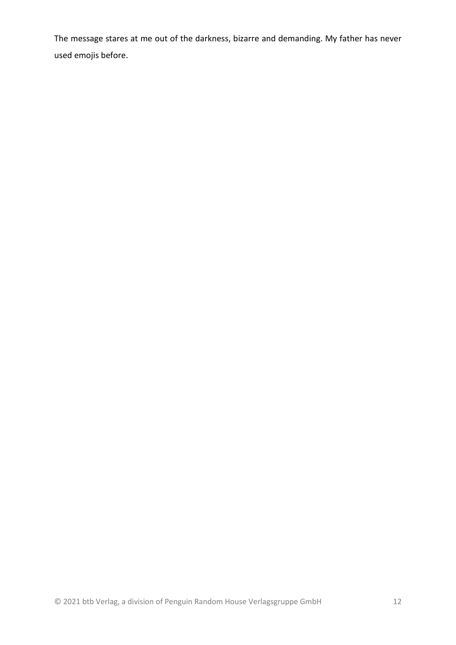The message stares at me out of the darkness, bizarre and demanding. My father has never used emojis before.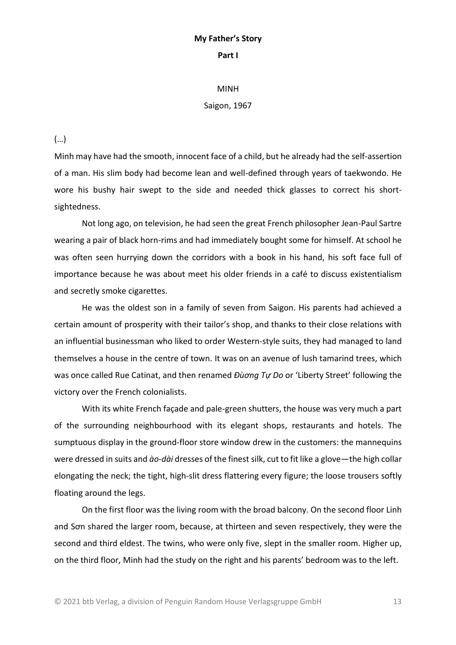#### **My Father's Story Part I**

#### MINH

#### Saigon, 1967

(…)

Minh may have had the smooth, innocent face of a child, but he already had the self-assertion of a man. His slim body had become lean and well-defined through years of taekwondo. He wore his bushy hair swept to the side and needed thick glasses to correct his shortsightedness.

Not long ago, on television, he had seen the great French philosopher Jean-Paul Sartre wearing a pair of black horn-rims and had immediately bought some for himself. At school he was often seen hurrying down the corridors with a book in his hand, his soft face full of importance because he was about meet his older friends in a café to discuss existentialism and secretly smoke cigarettes.

He was the oldest son in a family of seven from Saigon. His parents had achieved a certain amount of prosperity with their tailor's shop, and thanks to their close relations with an influential businessman who liked to order Western-style suits, they had managed to land themselves a house in the centre of town. It was on an avenue of lush tamarind trees, which was once called Rue Catinat, and then renamed *Đùơng Tự Do* or 'Liberty Street' following the victory over the French colonialists.

With its white French façade and pale-green shutters, the house was very much a part of the surrounding neighbourhood with its elegant shops, restaurants and hotels. The sumptuous display in the ground-floor store window drew in the customers: the mannequins were dressed in suits and *ào-dài* dresses of the finest silk, cut to fit like a glove—the high collar elongating the neck; the tight, high-slit dress flattering every figure; the loose trousers softly floating around the legs.

On the first floor was the living room with the broad balcony. On the second floor Linh and Sơn shared the larger room, because, at thirteen and seven respectively, they were the second and third eldest. The twins, who were only five, slept in the smaller room. Higher up, on the third floor, Minh had the study on the right and his parents' bedroom was to the left.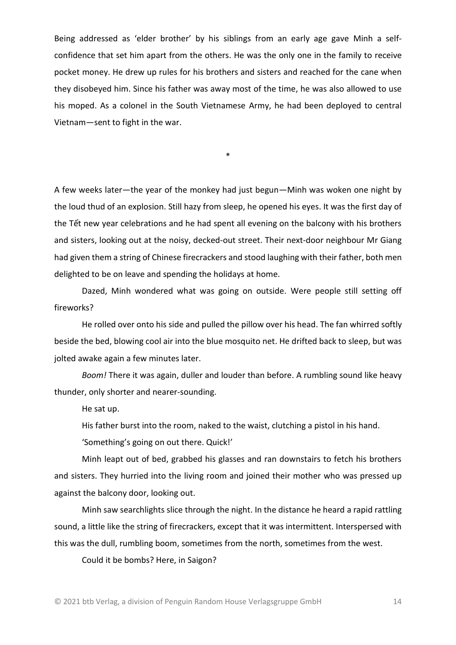Being addressed as 'elder brother' by his siblings from an early age gave Minh a selfconfidence that set him apart from the others. He was the only one in the family to receive pocket money. He drew up rules for his brothers and sisters and reached for the cane when they disobeyed him. Since his father was away most of the time, he was also allowed to use his moped. As a colonel in the South Vietnamese Army, he had been deployed to central Vietnam—sent to fight in the war.

\*

A few weeks later—the year of the monkey had just begun—Minh was woken one night by the loud thud of an explosion. Still hazy from sleep, he opened his eyes. It was the first day of the Tết new year celebrations and he had spent all evening on the balcony with his brothers and sisters, looking out at the noisy, decked-out street. Their next-door neighbour Mr Giang had given them a string of Chinese firecrackers and stood laughing with their father, both men delighted to be on leave and spending the holidays at home.

Dazed, Minh wondered what was going on outside. Were people still setting off fireworks?

He rolled over onto his side and pulled the pillow over his head. The fan whirred softly beside the bed, blowing cool air into the blue mosquito net. He drifted back to sleep, but was jolted awake again a few minutes later.

*Boom!* There it was again, duller and louder than before. A rumbling sound like heavy thunder, only shorter and nearer-sounding.

He sat up.

His father burst into the room, naked to the waist, clutching a pistol in his hand.

'Something's going on out there. Quick!'

Minh leapt out of bed, grabbed his glasses and ran downstairs to fetch his brothers and sisters. They hurried into the living room and joined their mother who was pressed up against the balcony door, looking out.

Minh saw searchlights slice through the night. In the distance he heard a rapid rattling sound, a little like the string of firecrackers, except that it was intermittent. Interspersed with this was the dull, rumbling boom, sometimes from the north, sometimes from the west.

Could it be bombs? Here, in Saigon?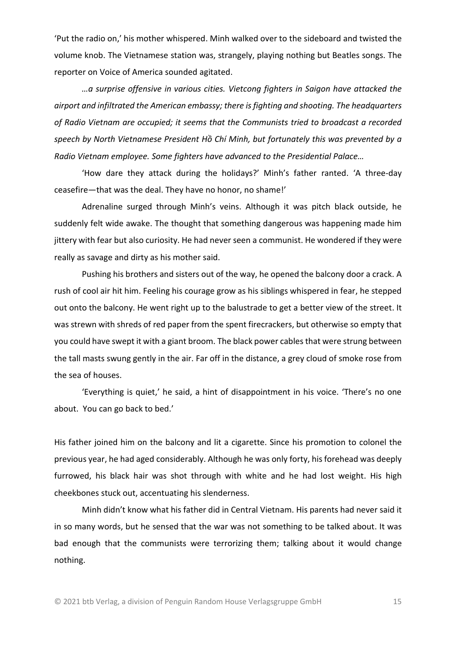'Put the radio on,' his mother whispered. Minh walked over to the sideboard and twisted the volume knob. The Vietnamese station was, strangely, playing nothing but Beatles songs. The reporter on Voice of America sounded agitated.

*…a surprise offensive in various cities. Vietcong fighters in Saigon have attacked the airport and infiltrated the American embassy; there is fighting and shooting. The headquarters of Radio Vietnam are occupied; it seems that the Communists tried to broadcast a recorded speech by North Vietnamese President Hồ Chí Minh, but fortunately this was prevented by a Radio Vietnam employee. Some fighters have advanced to the Presidential Palace…*

'How dare they attack during the holidays?' Minh's father ranted. 'A three-day ceasefire—that was the deal. They have no honor, no shame!'

Adrenaline surged through Minh's veins. Although it was pitch black outside, he suddenly felt wide awake. The thought that something dangerous was happening made him jittery with fear but also curiosity. He had never seen a communist. He wondered if they were really as savage and dirty as his mother said.

Pushing his brothers and sisters out of the way, he opened the balcony door a crack. A rush of cool air hit him. Feeling his courage grow as his siblings whispered in fear, he stepped out onto the balcony. He went right up to the balustrade to get a better view of the street. It was strewn with shreds of red paper from the spent firecrackers, but otherwise so empty that you could have swept it with a giant broom. The black power cables that were strung between the tall masts swung gently in the air. Far off in the distance, a grey cloud of smoke rose from the sea of houses.

'Everything is quiet,' he said, a hint of disappointment in his voice. 'There's no one about. You can go back to bed.'

His father joined him on the balcony and lit a cigarette. Since his promotion to colonel the previous year, he had aged considerably. Although he was only forty, his forehead was deeply furrowed, his black hair was shot through with white and he had lost weight. His high cheekbones stuck out, accentuating his slenderness.

Minh didn't know what his father did in Central Vietnam. His parents had never said it in so many words, but he sensed that the war was not something to be talked about. It was bad enough that the communists were terrorizing them; talking about it would change nothing.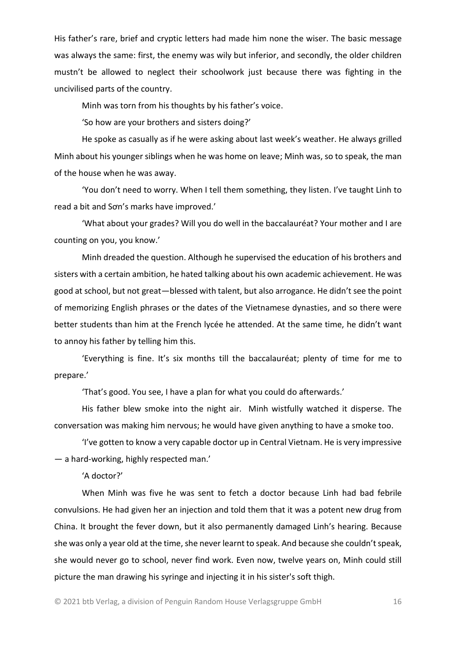His father's rare, brief and cryptic letters had made him none the wiser. The basic message was always the same: first, the enemy was wily but inferior, and secondly, the older children mustn't be allowed to neglect their schoolwork just because there was fighting in the uncivilised parts of the country.

Minh was torn from his thoughts by his father's voice.

'So how are your brothers and sisters doing?'

He spoke as casually as if he were asking about last week's weather. He always grilled Minh about his younger siblings when he was home on leave; Minh was, so to speak, the man of the house when he was away.

'You don't need to worry. When I tell them something, they listen. I've taught Linh to read a bit and Sơn's marks have improved.'

'What about your grades? Will you do well in the baccalauréat? Your mother and I are counting on you, you know.'

Minh dreaded the question. Although he supervised the education of his brothers and sisters with a certain ambition, he hated talking about his own academic achievement. He was good at school, but not great—blessed with talent, but also arrogance. He didn't see the point of memorizing English phrases or the dates of the Vietnamese dynasties, and so there were better students than him at the French lycée he attended. At the same time, he didn't want to annoy his father by telling him this.

'Everything is fine. It's six months till the baccalauréat; plenty of time for me to prepare.'

'That's good. You see, I have a plan for what you could do afterwards.'

His father blew smoke into the night air. Minh wistfully watched it disperse. The conversation was making him nervous; he would have given anything to have a smoke too.

'I've gotten to know a very capable doctor up in Central Vietnam. He is very impressive — a hard-working, highly respected man.'

'A doctor?'

When Minh was five he was sent to fetch a doctor because Linh had bad febrile convulsions. He had given her an injection and told them that it was a potent new drug from China. It brought the fever down, but it also permanently damaged Linh's hearing. Because she was only a year old at the time, she never learnt to speak. And because she couldn't speak, she would never go to school, never find work. Even now, twelve years on, Minh could still picture the man drawing his syringe and injecting it in his sister's soft thigh.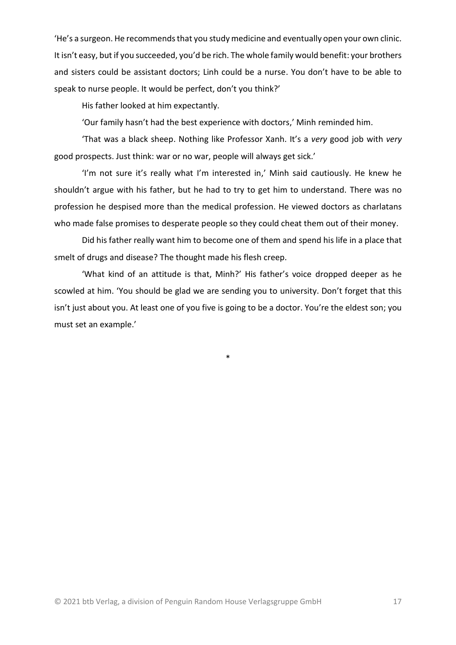'He's a surgeon. He recommends that you study medicine and eventually open your own clinic. It isn't easy, but if you succeeded, you'd be rich. The whole family would benefit: your brothers and sisters could be assistant doctors; Linh could be a nurse. You don't have to be able to speak to nurse people. It would be perfect, don't you think?'

His father looked at him expectantly.

'Our family hasn't had the best experience with doctors,' Minh reminded him.

'That was a black sheep. Nothing like Professor Xanh. It's a *very* good job with *very*  good prospects. Just think: war or no war, people will always get sick.'

'I'm not sure it's really what I'm interested in,' Minh said cautiously. He knew he shouldn't argue with his father, but he had to try to get him to understand. There was no profession he despised more than the medical profession. He viewed doctors as charlatans who made false promises to desperate people so they could cheat them out of their money.

Did his father really want him to become one of them and spend his life in a place that smelt of drugs and disease? The thought made his flesh creep.

'What kind of an attitude is that, Minh?' His father's voice dropped deeper as he scowled at him. 'You should be glad we are sending you to university. Don't forget that this isn't just about you. At least one of you five is going to be a doctor. You're the eldest son; you must set an example.'

\*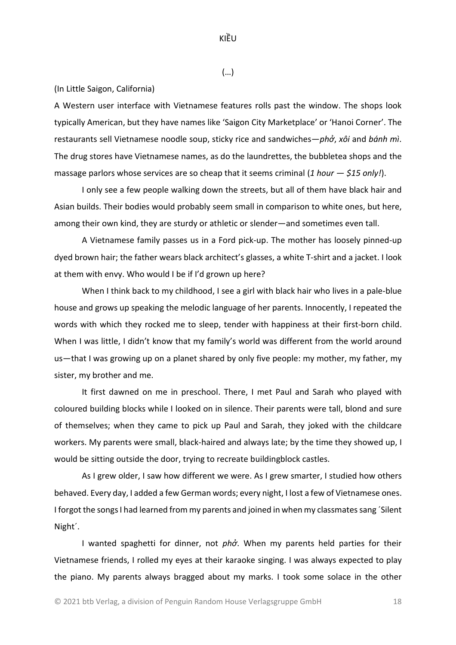KIỀU

(…)

(In Little Saigon, California)

A Western user interface with Vietnamese features rolls past the window. The shops look typically American, but they have names like 'Saigon City Marketplace' or 'Hanoi Corner'. The restaurants sell Vietnamese noodle soup, sticky rice and sandwiches—*phở*, *xôi* and *bánh mì*. The drug stores have Vietnamese names, as do the laundrettes, the bubbletea shops and the massage parlors whose services are so cheap that it seems criminal (*1 hour — \$15 only!*).

I only see a few people walking down the streets, but all of them have black hair and Asian builds. Their bodies would probably seem small in comparison to white ones, but here, among their own kind, they are sturdy or athletic or slender—and sometimes even tall.

A Vietnamese family passes us in a Ford pick-up. The mother has loosely pinned-up dyed brown hair; the father wears black architect's glasses, a white T-shirt and a jacket. I look at them with envy. Who would I be if I'd grown up here?

When I think back to my childhood, I see a girl with black hair who lives in a pale-blue house and grows up speaking the melodic language of her parents. Innocently, I repeated the words with which they rocked me to sleep, tender with happiness at their first-born child. When I was little, I didn't know that my family's world was different from the world around us—that I was growing up on a planet shared by only five people: my mother, my father, my sister, my brother and me.

It first dawned on me in preschool. There, I met Paul and Sarah who played with coloured building blocks while I looked on in silence. Their parents were tall, blond and sure of themselves; when they came to pick up Paul and Sarah, they joked with the childcare workers. My parents were small, black-haired and always late; by the time they showed up, I would be sitting outside the door, trying to recreate buildingblock castles.

As I grew older, I saw how different we were. As I grew smarter, I studied how others behaved. Every day, I added a few German words; every night, I lost a few of Vietnamese ones. I forgot the songs I had learned from my parents and joined in when my classmates sang ´Silent Night´.

I wanted spaghetti for dinner, not *phở*. When my parents held parties for their Vietnamese friends, I rolled my eyes at their karaoke singing. I was always expected to play the piano. My parents always bragged about my marks. I took some solace in the other